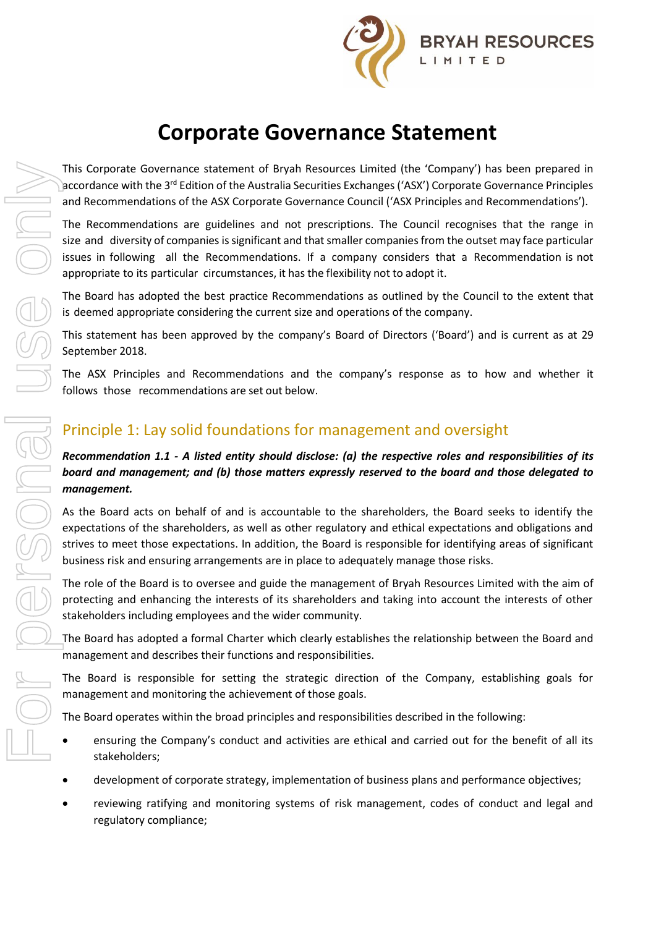

# **Corporate Governance Statement**

This Corporate Governance statement of Bryah Resources Limited (the 'Company') has been prepared in accordance with the 3<sup>rd</sup> Edition of the Australia Securities Exchanges ('ASX') Corporate Governance Principles and Recommendations of the ASX Corporate Governance Council ('ASX Principles and Recommendations').

The Recommendations are guidelines and not prescriptions. The Council recognises that the range in size and diversity of companies is significant and that smaller companies from the outset may face particular issues in following all the Recommendations. If a company considers that a Recommendation is not appropriate to its particular circumstances, it has the flexibility not to adopt it.

The Board has adopted the best practice Recommendations as outlined by the Council to the extent that is deemed appropriate considering the current size and operations of the company.

This statement has been approved by the company's Board of Directors ('Board') and is current as at 29 September 2018.

The ASX Principles and Recommendations and the company's response as to how and whether it follows those recommendations are set out below.

# Principle 1: Lay solid foundations for management and oversight

### *Recommendation 1.1 - A listed entity should disclose: (a) the respective roles and responsibilities of its board and management; and (b) those matters expressly reserved to the board and those delegated to management.*

As the Board acts on behalf of and is accountable to the shareholders, the Board seeks to identify the expectations of the shareholders, as well as other regulatory and ethical expectations and obligations and strives to meet those expectations. In addition, the Board is responsible for identifying areas of significant business risk and ensuring arrangements are in place to adequately manage those risks.

The role of the Board is to oversee and guide the management of Bryah Resources Limited with the aim of protecting and enhancing the interests of its shareholders and taking into account the interests of other stakeholders including employees and the wider community.

The Board has adopted a formal Charter which clearly establishes the relationship between the Board and management and describes their functions and responsibilities.

The Board is responsible for setting the strategic direction of the Company, establishing goals for management and monitoring the achievement of those goals.

The Board operates within the broad principles and responsibilities described in the following:

- ensuring the Company's conduct and activities are ethical and carried out for the benefit of all its stakeholders;
- development of corporate strategy, implementation of business plans and performance objectives;
- reviewing ratifying and monitoring systems of risk management, codes of conduct and legal and regulatory compliance;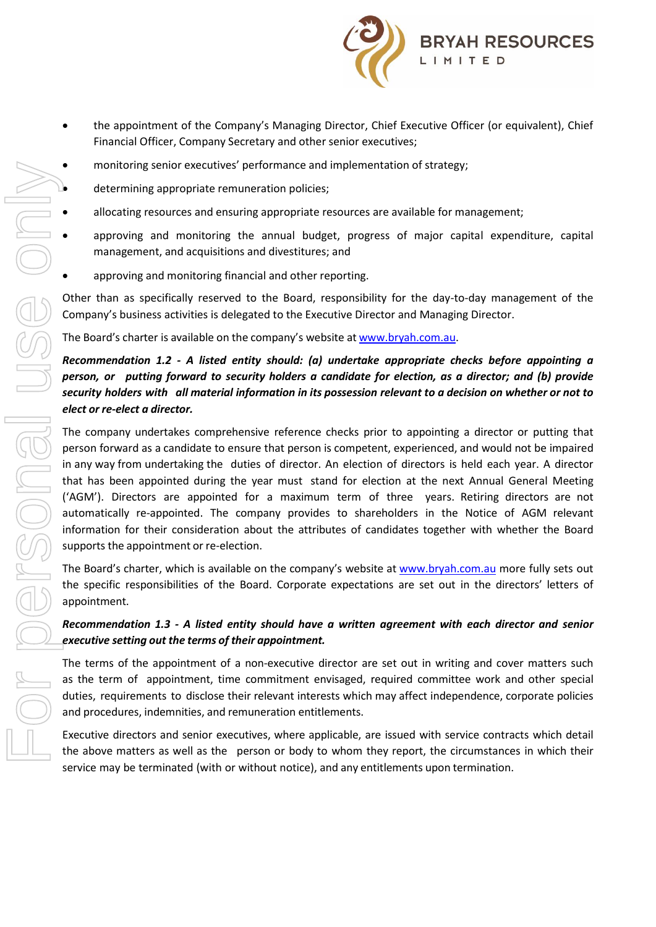

- the appointment of the Company's Managing Director, Chief Executive Officer (or equivalent), Chief Financial Officer, Company Secretary and other senior executives;
- monitoring senior executives' performance and implementation of strategy;
- determining appropriate remuneration policies;
- allocating resources and ensuring appropriate resources are available for management;
- approving and monitoring the annual budget, progress of major capital expenditure, capital management, and acquisitions and divestitures; and
- approving and monitoring financial and other reporting.

Other than as specifically reserved to the Board, responsibility for the day-to-day management of the Company's business activities is delegated to the Executive Director and Managing Director.

The Board's charter is available on the company's website at www.bryah.com.au.

### *Recommendation 1.2 - A listed entity should: (a) undertake appropriate checks before appointing a person, or putting forward to security holders a candidate for election, as a director; and (b) provide* security holders with all material information in its possession relevant to a decision on whether or not to *elect or re-elect a director.*

The company undertakes comprehensive reference checks prior to appointing a director or putting that person forward as a candidate to ensure that person is competent, experienced, and would not be impaired in any way from undertaking the duties of director. An election of directors is held each year. A director that has been appointed during the year must stand for election at the next Annual General Meeting ('AGM'). Directors are appointed for a maximum term of three years. Retiring directors are not automatically re-appointed. The company provides to shareholders in the Notice of AGM relevant information for their consideration about the attributes of candidates together with whether the Board supports the appointment or re-election. of the about the above matterial in the above matters are the person or body to whom the person or body to whom the above matters are appropriate entropy to the above manual budget, progress of major capital expenditure, c

The Board's charter, which is available on the company's website at [www.bryah.com.au](http://www.bryah.com.au/) more fully sets out the specific responsibilities of the Board. Corporate expectations are set out in the directors' letters of appointment.

#### *Recommendation 1.3 - A listed entity should have a written agreement with each director and senior executive setting out the terms of their appointment.*

The terms of the appointment of a non-executive director are set out in writing and cover matters such as the term of appointment, time commitment envisaged, required committee work and other special duties, requirements to disclose their relevant interests which may affect independence, corporate policies and procedures, indemnities, and remuneration entitlements.

Executive directors and senior executives, where applicable, are issued with service contracts which detail service may be terminated (with or without notice), and any entitlements upon termination.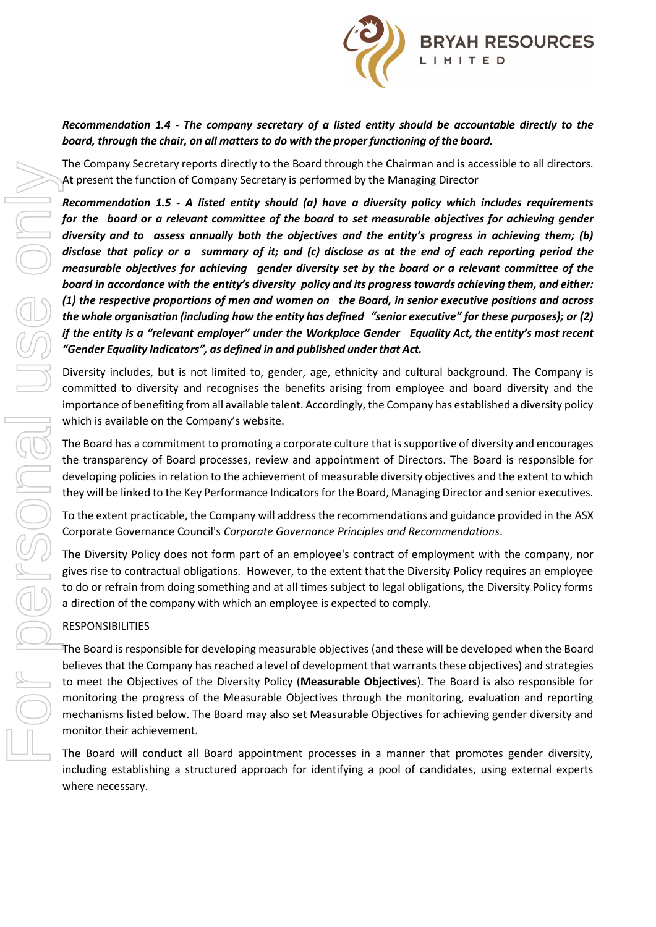

### *Recommendation 1.4 - The company secretary of a listed entity should be accountable directly to the board, through the chair, on all matters to do with the proper functioning of the board.*

The Company Secretary reports directly to the Board through the Chairman and is accessible to all directors. At present the function of Company Secretary is performed by the Managing Director

*Recommendation 1.5 - A listed entity should (a) have a diversity policy which includes requirements for the board or a relevant committee of the board to set measurable objectives for achieving gender diversity and to assess annually both the objectives and the entity's progress in achieving them; (b)* disclose that policy or a summary of it; and (c) disclose as at the end of each reporting period the *measurable objectives for achieving gender diversity set by the board or a relevant committee of the board in accordance with the entity's diversity policy and its progress towards achieving them, and either: (1) the respective proportions of men and women on the Board, in senior executive positions and across the whole organisation (including how the entity has defined "senior executive" for these purposes); or (2) if the entity is a "relevant employer" under the Workplace Gender Equality Act, the entity's most recent "Gender Equality Indicators", as defined in and published under that Act.*

Diversity includes, but is not limited to, gender, age, ethnicity and cultural background. The Company is committed to diversity and recognises the benefits arising from employee and board diversity and the importance of benefiting from all available talent. Accordingly, the Company has established a diversity policy which is available on the Company's website.

The Board has a commitment to promoting a corporate culture that is supportive of diversity and encourages the transparency of Board processes, review and appointment of Directors. The Board is responsible for developing policies in relation to the achievement of measurable diversity objectives and the extent to which they will be linked to the Key Performance Indicators for the Board, Managing Director and senior executives.

To the extent practicable, the Company will address the recommendations and guidance provided in the ASX Corporate Governance Council's *Corporate Governance Principles and Recommendations*.

The Diversity Policy does not form part of an employee's contract of employment with the company, nor gives rise to contractual obligations. However, to the extent that the Diversity Policy requires an employee to do or refrain from doing something and at all times subject to legal obligations, the Diversity Policy forms a direction of the company with which an employee is expected to comply.

#### RESPONSIBILITIES

The Board is responsible for developing measurable objectives (and these will be developed when the Board believes that the Company has reached a level of development that warrants these objectives) and strategies to meet the Objectives of the Diversity Policy (**Measurable Objectives**). The Board is also responsible for monitoring the progress of the Measurable Objectives through the monitoring, evaluation and reporting mechanisms listed below. The Board may also set Measurable Objectives for achieving gender diversity and monitor their achievement.

The Board will conduct all Board appointment processes in a manner that promotes gender diversity, including establishing a structured approach for identifying a pool of candidates, using external experts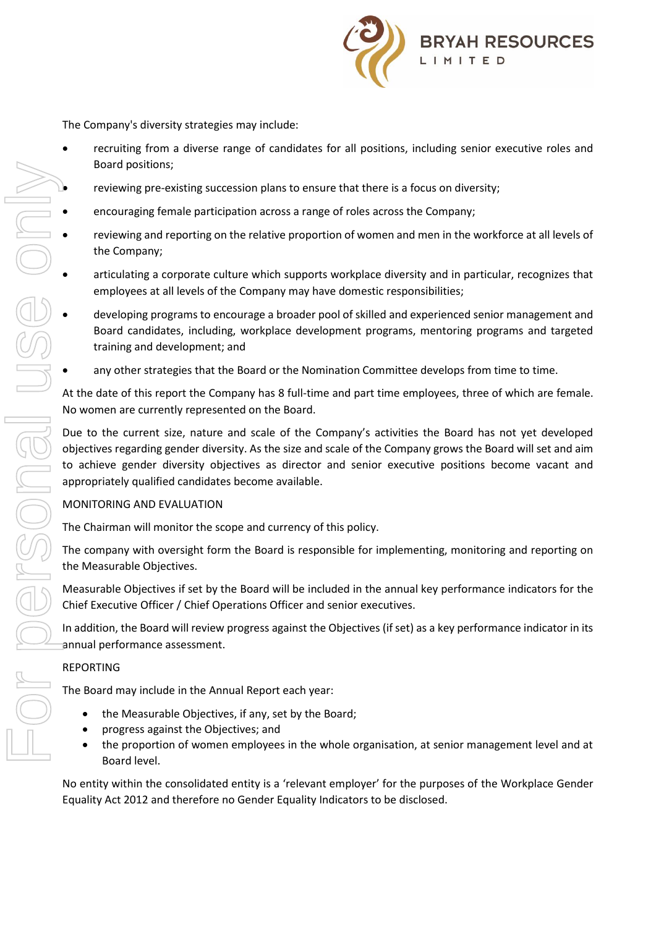

The Company's diversity strategies may include:

- recruiting from a diverse range of candidates for all positions, including senior executive roles and Board positions;
- reviewing pre-existing succession plans to ensure that there is a focus on diversity;
- encouraging female participation across a range of roles across the Company;
- reviewing and reporting on the relative proportion of women and men in the workforce at all levels of the Company;
- articulating a corporate culture which supports workplace diversity and in particular, recognizes that employees at all levels of the Company may have domestic responsibilities;
- developing programs to encourage a broader pool of skilled and experienced senior management and Board candidates, including, workplace development programs, mentoring programs and targeted training and development; and
- any other strategies that the Board or the Nomination Committee develops from time to time.

At the date of this report the Company has 8 full-time and part time employees, three of which are female. No women are currently represented on the Board.

Due to the current size, nature and scale of the Company's activities the Board has not yet developed objectives regarding gender diversity. As the size and scale of the Company grows the Board will set and aim to achieve gender diversity objectives as director and senior executive positions become vacant and appropriately qualified candidates become available.

#### MONITORING AND EVALUATION

The Chairman will monitor the scope and currency of this policy.

The company with oversight form the Board is responsible for implementing, monitoring and reporting on the Measurable Objectives.

Measurable Objectives if set by the Board will be included in the annual key performance indicators for the Chief Executive Officer / Chief Operations Officer and senior executives.

In addition, the Board will review progress against the Objectives (if set) as a key performance indicator in its annual performance assessment.

#### REPORTING

The Board may include in the Annual Report each year:

- the Measurable Objectives, if any, set by the Board;
- progress against the Objectives; and
- the proportion of women employees in the whole organisation, at senior management level and at Board level.

No entity within the consolidated entity is a 'relevant employer' for the purposes of the Workplace Gender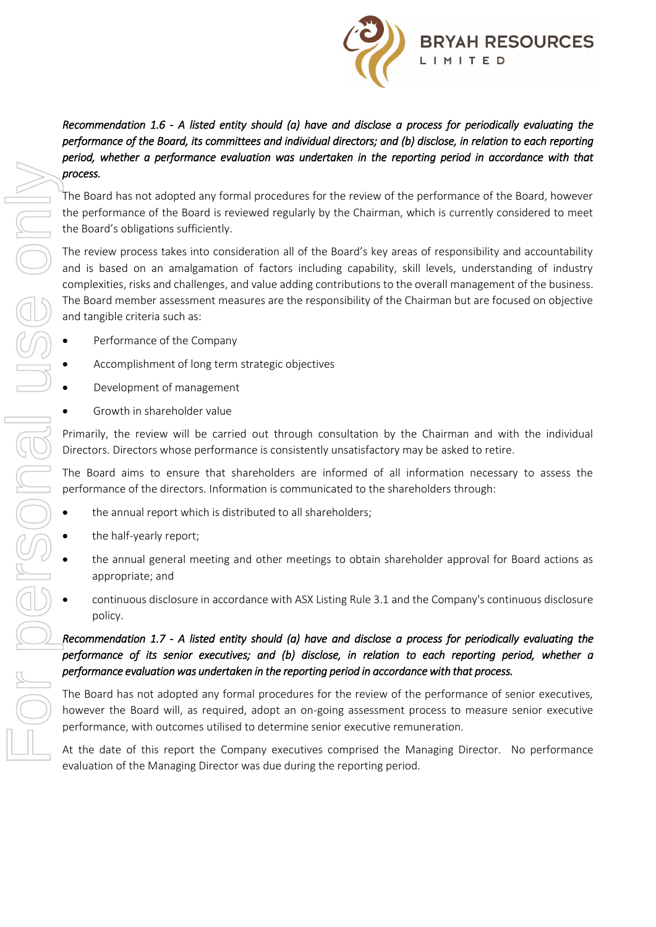

# *Recommendation 1.6 - A listed entity should (a) have and disclose a process for periodically evaluating the performance of the Board, its committees and individual directors; and (b) disclose, in relation to each reporting period, whether a performance evaluation was undertaken in the reporting period in accordance with that process.*

The Board has not adopted any formal procedures for the review of the performance of the Board, however the performance of the Board is reviewed regularly by the Chairman, which is currently considered to meet the Board's obligations sufficiently.

The review process takes into consideration all of the Board's key areas of responsibility and accountability and is based on an amalgamation of factors including capability, skill levels, understanding of industry complexities, risks and challenges, and value adding contributions to the overall management of the business. The Board member assessment measures are the responsibility of the Chairman but are focused on objective and tangible criteria such as: Fried Sources and the dealer of the company executive space of the Company executive company executives company to the company to the Company to the Company of the Company and accountability on the metals based on an ama

- Performance of the Company
- Accomplishment of long term strategic objectives
- Development of management
- Growth in shareholder value

Primarily, the review will be carried out through consultation by the Chairman and with the individual Directors. Directors whose performance is consistently unsatisfactory may be asked to retire.

The Board aims to ensure that shareholders are informed of all information necessary to assess the performance of the directors. Information is communicated to the shareholders through:

- the annual report which is distributed to all shareholders;
- the half-yearly report;
- the annual general meeting and other meetings to obtain shareholder approval for Board actions as appropriate; and
- continuous disclosure in accordance with ASX Listing Rule 3.1 and the Company's continuous disclosure policy.

# *Recommendation 1.7 - A listed entity should (a) have and disclose a process for periodically evaluating the performance of its senior executives; and (b) disclose, in relation to each reporting period, whether a performance evaluation was undertaken in the reporting period in accordance with that process.*

The Board has not adopted any formal procedures for the review of the performance of senior executives, however the Board will, as required, adopt an on-going assessment process to measure senior executive performance, with outcomes utilised to determine senior executive remuneration.

evaluation of the Managing Director was due during the reporting period.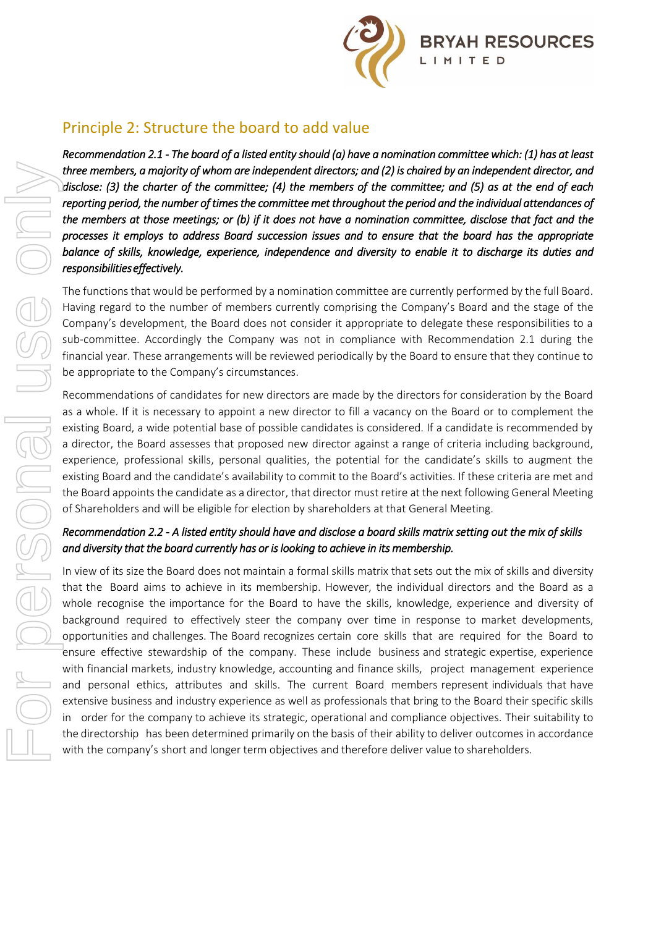

# Principle 2: Structure the board to add value

*Recommendation 2.1 - The board of a listed entity should (a) have a nomination committee which: (1) has at least three members, a majority of whom are independent directors; and (2) is chaired by an independent director, and disclose: (3) the charter of the committee; (4) the members of the committee; and (5) as at the end of each reporting period, the number of times the committee met throughout the period and the individual attendances of the members at those meetings; or (b) if it does not have a nomination committee, disclose that fact and the processes it employs to address Board succession issues and to ensure that the board has the appropriate balance of skills, knowledge, experience, independence and diversity to enable it to discharge its duties and responsibilities effectively.*

The functions that would be performed by a nomination committee are currently performed by the full Board. Having regard to the number of members currently comprising the Company's Board and the stage of the Company's development, the Board does not consider it appropriate to delegate these responsibilities to a sub-committee. Accordingly the Company was not in compliance with Recommendation 2.1 during the financial year. These arrangements will be reviewed periodically by the Board to ensure that they continue to be appropriate to the Company's circumstances.

Recommendations of candidates for new directors are made by the directors for consideration by the Board as a whole. If it is necessary to appoint a new director to fill a vacancy on the Board or to complement the existing Board, a wide potential base of possible candidates is considered. If a candidate is recommended by a director, the Board assesses that proposed new director against a range of criteria including background, experience, professional skills, personal qualities, the potential for the candidate's skills to augment the existing Board and the candidate's availability to commit to the Board's activities. If these criteria are met and the Board appoints the candidate as a director, that director must retire at the next following General Meeting of Shareholders and will be eligible for election by shareholders at that General Meeting.

### *Recommendation 2.2 - A listed entity should have and disclose a board skills matrix setting out the mix of skills and diversity that the board currently has or is looking to achieve in its membership.*

In view of its size the Board does not maintain a formal skills matrix that sets out the mix of skills and diversity that the Board aims to achieve in its membership. However, the individual directors and the Board as a whole recognise the importance for the Board to have the skills, knowledge, experience and diversity of background required to effectively steer the company over time in response to market developments, opportunities and challenges. The Board recognizes certain core skills that are required for the Board to ensure effective stewardship of the company. These include business and strategic expertise, experience with financial markets, industry knowledge, accounting and finance skills, project management experience and personal ethics, attributes and skills. The current Board members represent individuals that have extensive business and industry experience as well as professionals that bring to the Board their specific skills in order for the company to achieve its strategic, operational and compliance objectives. Their suitability to Unter members, one) of the matrice independent direct of sy and (2) is charged and mediated by enter the commute of the commute and (3) is of the enter of the commute entergy and (3) is of the entergy of energy and partic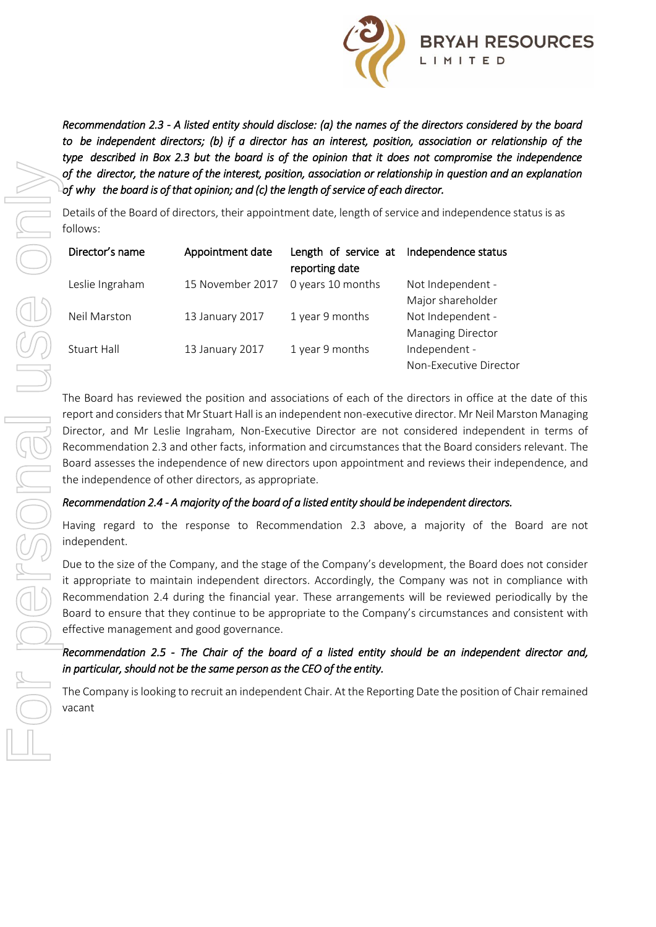

*Recommendation 2.3 - A listed entity should disclose: (a) the names of the directors considered by the board to be independent directors; (b) if a director has an interest, position, association or relationship of the type described in Box 2.3 but the board is of the opinion that it does not compromise the independence of the director, the nature of the interest, position, association or relationship in question and an explanation of why the board is of that opinion; and (c) the length of service of each director.* 

Details of the Board of directors, their appointment date, length of service and independence status is as follows:

| Director's name | Appointment date | Length of service at<br>reporting date | Independence status                           |
|-----------------|------------------|----------------------------------------|-----------------------------------------------|
| Leslie Ingraham | 15 November 2017 | 0 years 10 months                      | Not Independent -<br>Major shareholder        |
| Neil Marston    | 13 January 2017  | 1 year 9 months                        | Not Independent -<br><b>Managing Director</b> |
| Stuart Hall     | 13 January 2017  | 1 year 9 months                        | Independent -<br>Non-Executive Director       |

The Board has reviewed the position and associations of each of the directors in office at the date of this report and considers that Mr Stuart Hall is an independent non-executive director. Mr Neil Marston Managing Director, and Mr Leslie Ingraham, Non-Executive Director are not considered independent in terms of Recommendation 2.3 and other facts, information and circumstances that the Board considers relevant. The Board assesses the independence of new directors upon appointment and reviews their independence, and the independence of other directors, as appropriate.

#### *Recommendation 2.4 - A majority of the board of a listed entity should be independent directors.*

Having regard to the response to Recommendation 2.3 above, a majority of the Board are not independent.

Due to the size of the Company, and the stage of the Company's development, the Board does not consider it appropriate to maintain independent directors. Accordingly, the Company was not in compliance with Recommendation 2.4 during the financial year. These arrangements will be reviewed periodically by the Board to ensure that they continue to be appropriate to the Company's circumstances and consistent with effective management and good governance.

### *Recommendation 2.5 - The Chair of the board of a listed entity should be an independent director and, in particular, should not be the same person as the CEO of the entity.*

The Company is looking to recruit an independent Chair. At the Reporting Date the position of Chair remained vacant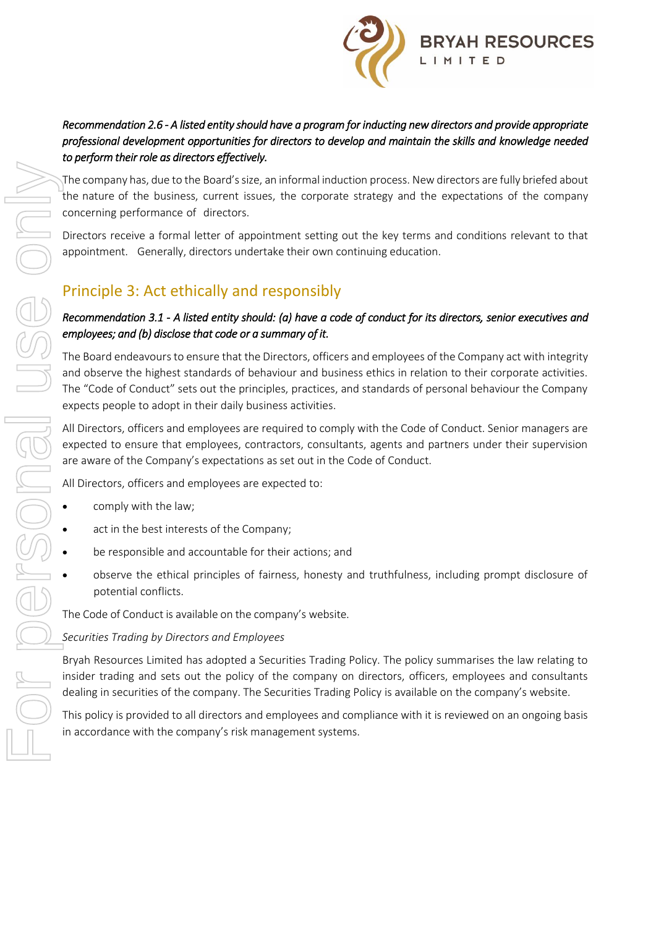

# *Recommendation 2.6 - A listed entity should have a program for inducting new directors and provide appropriate professional development opportunities for directors to develop and maintain the skills and knowledge needed to perform their role as directors effectively.*

The company has, due to the Board's size, an informal induction process. New directors are fully briefed about the nature of the business, current issues, the corporate strategy and the expectations of the company concerning performance of directors.

Directors receive a formal letter of appointment setting out the key terms and conditions relevant to that appointment. Generally, directors undertake their own continuing education.

# Principle 3: Act ethically and responsibly

### *Recommendation 3.1 - A listed entity should: (a) have a code of conduct for its directors, senior executives and employees; and (b) disclose that code or a summary of it.*

The Board endeavours to ensure that the Directors, officers and employees of the Company act with integrity and observe the highest standards of behaviour and business ethics in relation to their corporate activities. The "Code of Conduct" sets out the principles, practices, and standards of personal behaviour the Company expects people to adopt in their daily business activities.

All Directors, officers and employees are required to comply with the Code of Conduct. Senior managers are expected to ensure that employees, contractors, consultants, agents and partners under their supervision are aware of the Company's expectations as set out in the Code of Conduct.

All Directors, officers and employees are expected to:

- comply with the law;
- act in the best interests of the Company;
- be responsible and accountable for their actions; and
- observe the ethical principles of fairness, honesty and truthfulness, including prompt disclosure of potential conflicts.

The Code of Conduct is available on the company's website.

#### *Securities Trading by Directors and Employees*

Bryah Resources Limited has adopted a Securities Trading Policy. The policy summarises the law relating to insider trading and sets out the policy of the company on directors, officers, employees and consultants dealing in securities of the company. The Securities Trading Policy is available on the company's website.

This policy is provided to all directors and employees and compliance with it is reviewed on an ongoing basis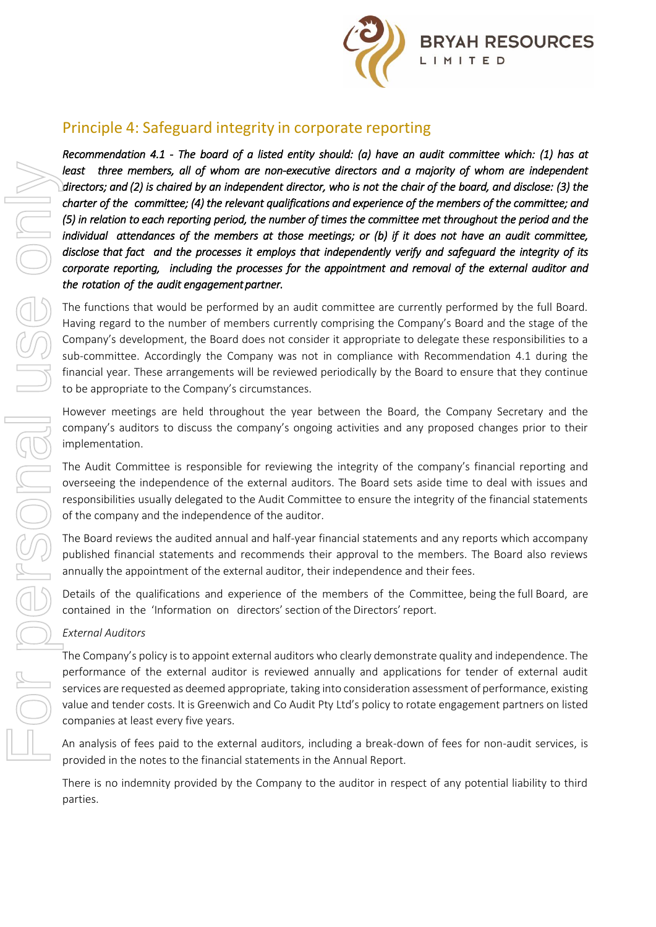

# Principle 4: Safeguard integrity in corporate reporting

*Recommendation 4.1 - The board of a listed entity should: (a) have an audit committee which: (1) has at*  least three members, all of whom are non-executive directors and a majority of whom are independent *directors; and (2) is chaired by an independent director, who is not the chair of the board, and disclose: (3) the charter of the committee; (4) the relevant qualifications and experience of the members of the committee; and (5) in relation to each reporting period, the number of times the committee met throughout the period and the individual attendances of the members at those meetings; or (b) if it does not have an audit committee, disclose that fact and the processes it employs that independently verify and safeguard the integrity of its corporate reporting, including the processes for the appointment and removal of the external auditor and the rotation of the audit engagement partner.* 

The functions that would be performed by an audit committee are currently performed by the full Board. Having regard to the number of members currently comprising the Company's Board and the stage of the Company's development, the Board does not consider it appropriate to delegate these responsibilities to a sub-committee. Accordingly the Company was not in compliance with Recommendation 4.1 during the financial year. These arrangements will be reviewed periodically by the Board to ensure that they continue to be appropriate to the Company's circumstances.

However meetings are held throughout the year between the Board, the Company Secretary and the company's auditors to discuss the company's ongoing activities and any proposed changes prior to their implementation.

The Audit Committee is responsible for reviewing the integrity of the company's financial reporting and overseeing the independence of the external auditors. The Board sets aside time to deal with issues and responsibilities usually delegated to the Audit Committee to ensure the integrity of the financial statements of the company and the independence of the auditor.

The Board reviews the audited annual and half-year financial statements and any reports which accompany published financial statements and recommends their approval to the members. The Board also reviews annually the appointment of the external auditor, their independence and their fees.

Details of the qualifications and experience of the members of the Committee, being the full Board, are contained in the 'Information on directors'section of the Directors' report.

### *External Auditors*

The Company's policy is to appoint external auditors who clearly demonstrate quality and independence. The performance of the external auditor is reviewed annually and applications for tender of external audit services are requested as deemed appropriate, taking into consideration assessment of performance, existing value and tender costs. It is Greenwich and Co Audit Pty Ltd's policy to rotate engagement partners on listed companies at least every five years.

An analysis of fees paid to the external auditors, including a break-down of fees for non-audit services, is provided in the notes to the financial statements in the Annual Report.

There is no indemnity provided by the Company to the auditor in respect of any potential liability to third parties.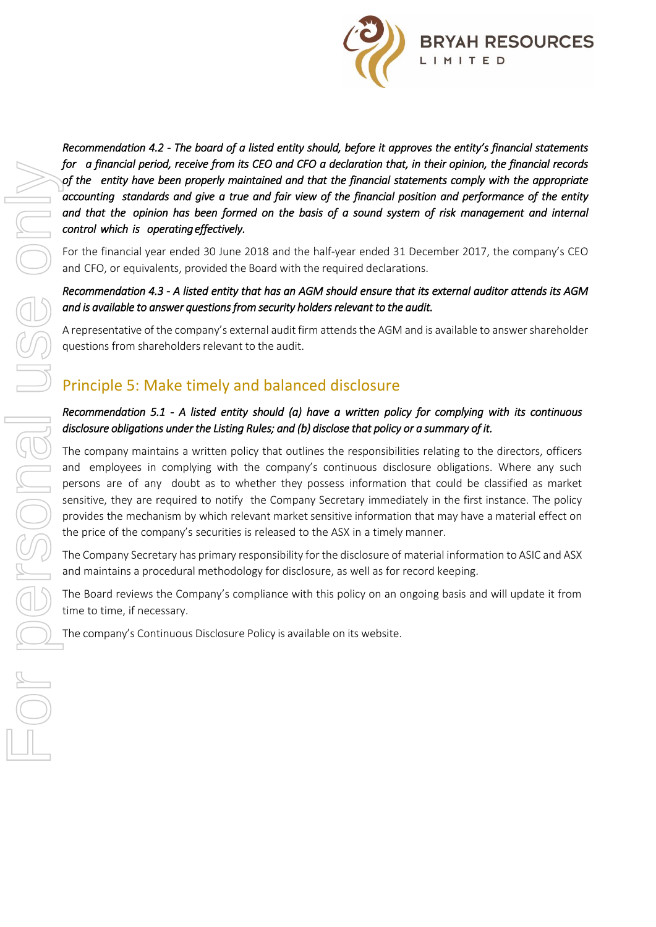

*Recommendation 4.2 - The board of a listed entity should, before it approves the entity's financial statements for a financial period, receive from its CEO and CFO a declaration that, in their opinion, the financial records of the entity have been properly maintained and that the financial statements comply with the appropriate accounting standards and give a true and fair view of the financial position and performance of the entity*  and that the opinion has been formed on the basis of a sound system of risk management and internal *control which is operating effectively.* 

For the financial year ended 30 June 2018 and the half-year ended 31 December 2017, the company's CEO and CFO, or equivalents, provided the Board with the required declarations.

### *Recommendation 4.3 - A listed entity that has an AGM should ensure that its external auditor attends its AGM and is available to answer questions from security holders relevant to the audit.*

A representative of the company's external audit firm attends the AGM and is available to answer shareholder questions from shareholders relevant to the audit.

# Principle 5: Make timely and balanced disclosure

#### *Recommendation 5.1 - A listed entity should (a) have a written policy for complying with its continuous disclosure obligations under the Listing Rules; and (b) disclose that policy or a summary of it.*

The company maintains a written policy that outlines the responsibilities relating to the directors, officers and employees in complying with the company's continuous disclosure obligations. Where any such persons are of any doubt as to whether they possess information that could be classified as market sensitive, they are required to notify the Company Secretary immediately in the first instance. The policy provides the mechanism by which relevant market sensitive information that may have a material effect on the price of the company's securities is released to the ASX in a timely manner.

The Company Secretary has primary responsibility for the disclosure of material information to ASIC and ASX and maintains a procedural methodology for disclosure, as well as for record keeping.

The Board reviews the Company's compliance with this policy on an ongoing basis and will update it from time to time, if necessary.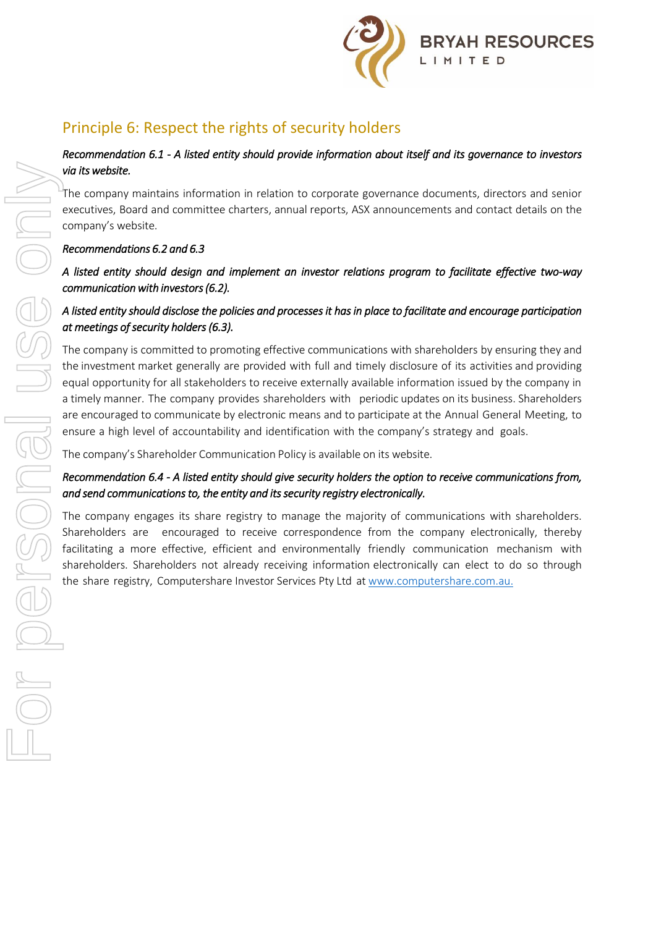

# Principle 6: Respect the rights of security holders

### *Recommendation 6.1 - A listed entity should provide information about itself and its governance to investors via its website.*

The company maintains information in relation to corporate governance documents, directors and senior executives, Board and committee charters, annual reports, ASX announcements and contact details on the company's website.

# *Recommendations 6.2 and 6.3*

# *A listed entity should design and implement an investor relations program to facilitate effective two-way communication with investors (6.2).*

# *A listed entity should disclose the policies and processes it has in place to facilitate and encourage participation at meetings of security holders (6.3).*

The company is committed to promoting effective communications with shareholders by ensuring they and the investment market generally are provided with full and timely disclosure of its activities and providing equal opportunity for all stakeholders to receive externally available information issued by the company in a timely manner. The company provides shareholders with periodic updates on its business. Shareholders are encouraged to communicate by electronic means and to participate at the Annual General Meeting, to ensure a high level of accountability and identification with the company's strategy and goals. Free comparisons in the share registry, and the share of the share registry (at at which is the share of the share of the services Computers Services Computers Services Computers Services Computers Computers Computers Co

The company's Shareholder Communication Policy is available on its website.

# *Recommendation 6.4 - A listed entity should give security holders the option to receive communications from, and send communications to, the entity and its security registry electronically.*

The company engages its share registry to manage the majority of communications with shareholders. Shareholders are encouraged to receive correspondence from the company electronically, thereby facilitating a more effective, efficient and environmentally friendly communication mechanism with shareholders. Shareholders not already receiving information electronically can elect to do so through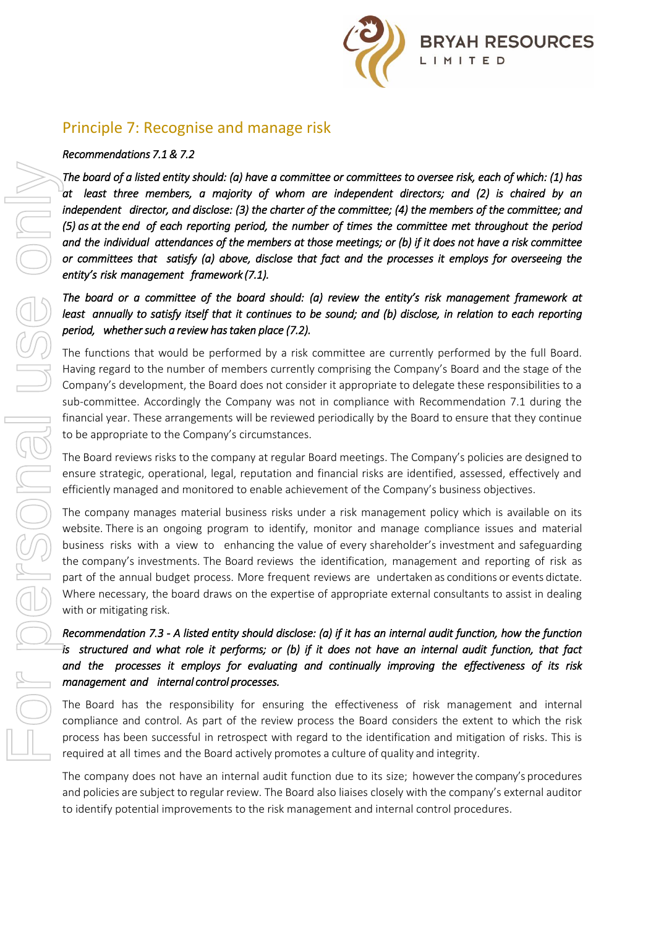

# Principle 7: Recognise and manage risk

#### *Recommendations 7.1 & 7.2*

*The board of a listed entity should: (a) have a committee or committees to oversee risk, each of which: (1) has at least three members, a majority of whom are independent directors; and (2) is chaired by an independent director, and disclose: (3) the charter of the committee; (4) the members of the committee; and (5) as at the end of each reporting period, the number of times the committee met throughout the period and the individual attendances of the members at those meetings; or (b) if it does not have a risk committee or committees that satisfy (a) above, disclose that fact and the processes it employs for overseeing the entity's risk management framework (7.1).* The board of a listed enalty should: (a) howe a committee or committees to oversee risk, each of the risk management director, and disclose. [3] the distorted of the commister of the commister of the commister of the comm

*The board or a committee of the board should: (a) review the entity's risk management framework at least annually to satisfy itself that it continues to be sound; and (b) disclose, in relation to each reporting period, whether such a review has taken place (7.2).*

The functions that would be performed by a risk committee are currently performed by the full Board. Having regard to the number of members currently comprising the Company's Board and the stage of the Company's development, the Board does not consider it appropriate to delegate these responsibilities to a sub-committee. Accordingly the Company was not in compliance with Recommendation 7.1 during the financial year. These arrangements will be reviewed periodically by the Board to ensure that they continue to be appropriate to the Company's circumstances.

The Board reviews risks to the company at regular Board meetings. The Company's policies are designed to ensure strategic, operational, legal, reputation and financial risks are identified, assessed, effectively and efficiently managed and monitored to enable achievement of the Company's business objectives.

The company manages material business risks under a risk management policy which is available on its website. There is an ongoing program to identify, monitor and manage compliance issues and material business risks with a view to enhancing the value of every shareholder's investment and safeguarding the company's investments. The Board reviews the identification, management and reporting of risk as part of the annual budget process. More frequent reviews are undertaken as conditions or events dictate. Where necessary, the board draws on the expertise of appropriate external consultants to assist in dealing with or mitigating risk.

# *Recommendation 7.3 - A listed entity should disclose: (a) if it has an internal audit function, how the function is structured and what role it performs; or (b) if it does not have an internal audit function, that fact and the processes it employs for evaluating and continually improving the effectiveness of its risk management and internal control processes.*

The Board has the responsibility for ensuring the effectiveness of risk management and internal compliance and control. As part of the review process the Board considers the extent to which the risk process has been successful in retrospect with regard to the identification and mitigation of risks. This is required at all times and the Board actively promotes a culture of quality and integrity.

The company does not have an internal audit function due to its size; however the company's procedures and policies are subject to regular review. The Board also liaises closely with the company's external auditor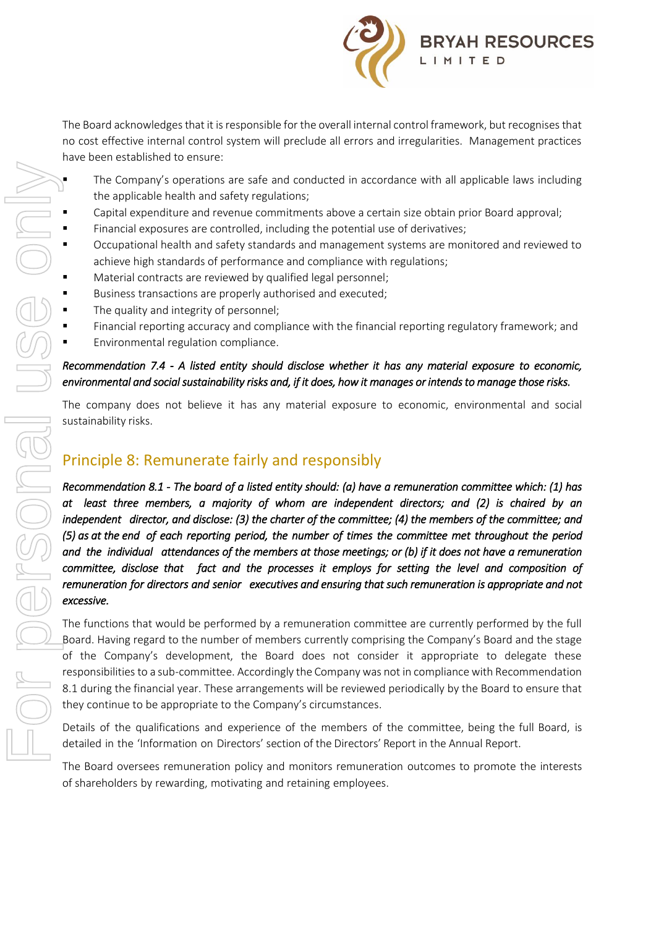

The Board acknowledges that it is responsible for the overall internal control framework, but recognises that no cost effective internal control system will preclude all errors and irregularities. Management practices have been established to ensure:

- The Company's operations are safe and conducted in accordance with all applicable laws including the applicable health and safety regulations;
- Capital expenditure and revenue commitments above a certain size obtain prior Board approval;
- Financial exposures are controlled, including the potential use of derivatives;
- Occupational health and safety standards and management systems are monitored and reviewed to achieve high standards of performance and compliance with regulations;
- Material contracts are reviewed by qualified legal personnel;
- Business transactions are properly authorised and executed;
- The quality and integrity of personnel;
- Financial reporting accuracy and compliance with the financial reporting regulatory framework; and
- Environmental regulation compliance.

### *Recommendation 7.4 - A listed entity should disclose whether it has any material exposure to economic, environmental and social sustainability risks and, if it does, how it manages or intends to manage those risks.*

The company does not believe it has any material exposure to economic, environmental and social sustainability risks.

# Principle 8: Remunerate fairly and responsibly

*Recommendation 8.1 - The board of a listed entity should: (a) have a remuneration committee which: (1) has at least three members, a majority of whom are independent directors; and (2) is chaired by an independent director, and disclose: (3) the charter of the committee; (4) the members of the committee; and (5) as at the end of each reporting period, the number of times the committee met throughout the period and the individual attendances of the members at those meetings; or (b) if it does not have a remuneration committee, disclose that fact and the processes it employs for setting the level and composition of remuneration for directors and senior executives and ensuring that such remuneration is appropriate and not excessive.*  The Company's operations are safe and conducted in according philosophilities and revenue committeness above a certain exploration in the and revenue committed and state is and respectively and retaining the potential of t

The functions that would be performed by a remuneration committee are currently performed by the full Board. Having regard to the number of members currently comprising the Company's Board and the stage of the Company's development, the Board does not consider it appropriate to delegate these responsibilities to a sub-committee. Accordingly the Company was not in compliance with Recommendation 8.1 during the financial year. These arrangements will be reviewed periodically by the Board to ensure that they continue to be appropriate to the Company's circumstances.

Details of the qualifications and experience of the members of the committee, being the full Board, is detailed in the 'Information on Directors' section of the Directors' Report in the Annual Report.

The Board oversees remuneration policy and monitors remuneration outcomes to promote the interests